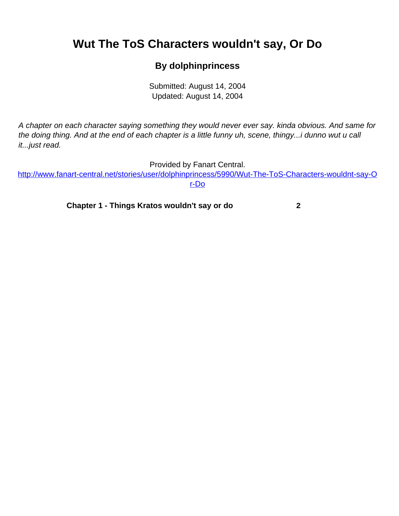## <span id="page-0-0"></span>**Wut The ToS Characters wouldn't say, Or Do**

## **By dolphinprincess**

Submitted: August 14, 2004 Updated: August 14, 2004

A chapter on each character saying something they would never ever say. kinda obvious. And same for the doing thing. And at the end of each chapter is a little funny uh, scene, thingy...i dunno wut u call it...just read.

Provided by Fanart Central.

[http://www.fanart-central.net/stories/user/dolphinprincess/5990/Wut-The-ToS-Characters-wouldnt-say-O](#page-0-0) [r-Do](#page-0-0)

**[Chapter 1 - Things Kratos wouldn't say or do](#page-1-0) [2](#page-1-0)**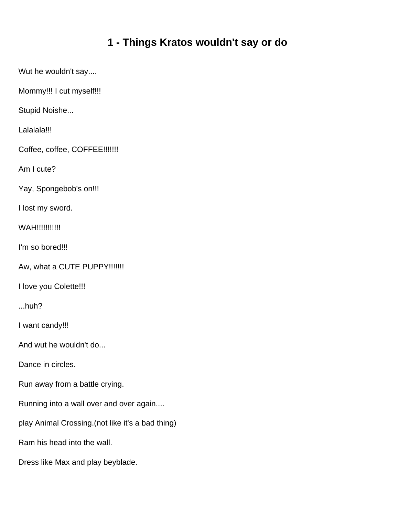## **1 - Things Kratos wouldn't say or do**

<span id="page-1-0"></span>Wut he wouldn't say....

Mommy!!! I cut myself!!!

Stupid Noishe...

Lalalala!!!

Coffee, coffee, COFFEE!!!!!!!

Am I cute?

Yay, Spongebob's on!!!

I lost my sword.

WAH!!!!!!!!!!!

I'm so bored!!!

Aw, what a CUTE PUPPY!!!!!!!

I love you Colette!!!

...huh?

I want candy!!!

And wut he wouldn't do...

Dance in circles.

Run away from a battle crying.

Running into a wall over and over again....

play Animal Crossing.(not like it's a bad thing)

Ram his head into the wall.

Dress like Max and play beyblade.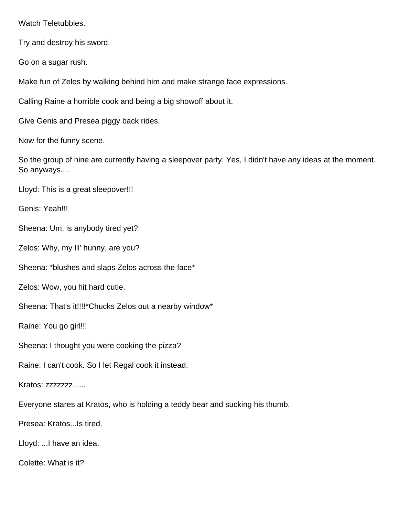Watch Teletubbies.

Try and destroy his sword.

Go on a sugar rush.

Make fun of Zelos by walking behind him and make strange face expressions.

Calling Raine a horrible cook and being a big showoff about it.

Give Genis and Presea piggy back rides.

Now for the funny scene.

So the group of nine are currently having a sleepover party. Yes, I didn't have any ideas at the moment. So anyways....

Lloyd: This is a great sleepover!!!

Genis: Yeah!!!

Sheena: Um, is anybody tired yet?

Zelos: Why, my lil' hunny, are you?

Sheena: \*blushes and slaps Zelos across the face\*

Zelos: Wow, you hit hard cutie.

Sheena: That's it!!!!\*Chucks Zelos out a nearby window\*

Raine: You go girl!!!

Sheena: I thought you were cooking the pizza?

Raine: I can't cook. So I let Regal cook it instead.

Kratos: zzzzzzzz......

Everyone stares at Kratos, who is holding a teddy bear and sucking his thumb.

Presea: Kratos...Is tired.

Lloyd: ...I have an idea.

Colette: What is it?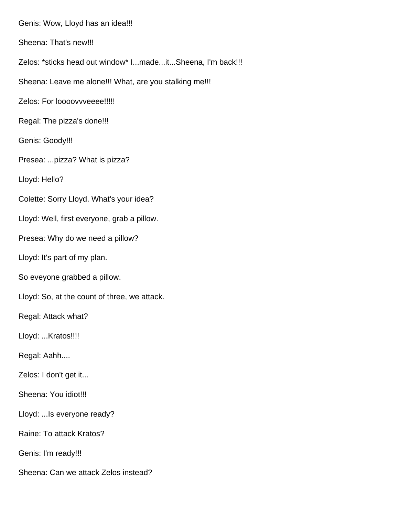Genis: Wow, Lloyd has an idea!!! Sheena: That's new!!! Zelos: \*sticks head out window\* I...made...it...Sheena, I'm back!!! Sheena: Leave me alone!!! What, are you stalking me!!! Zelos: For loooovvveeee!!!!! Regal: The pizza's done!!! Genis: Goody!!! Presea: ...pizza? What is pizza? Lloyd: Hello? Colette: Sorry Lloyd. What's your idea? Lloyd: Well, first everyone, grab a pillow. Presea: Why do we need a pillow? Lloyd: It's part of my plan. So eveyone grabbed a pillow. Lloyd: So, at the count of three, we attack. Regal: Attack what? Lloyd: ...Kratos!!!! Regal: Aahh.... Zelos: I don't get it... Sheena: You idiot!!! Lloyd: ...Is everyone ready? Raine: To attack Kratos? Genis: I'm ready!!! Sheena: Can we attack Zelos instead?